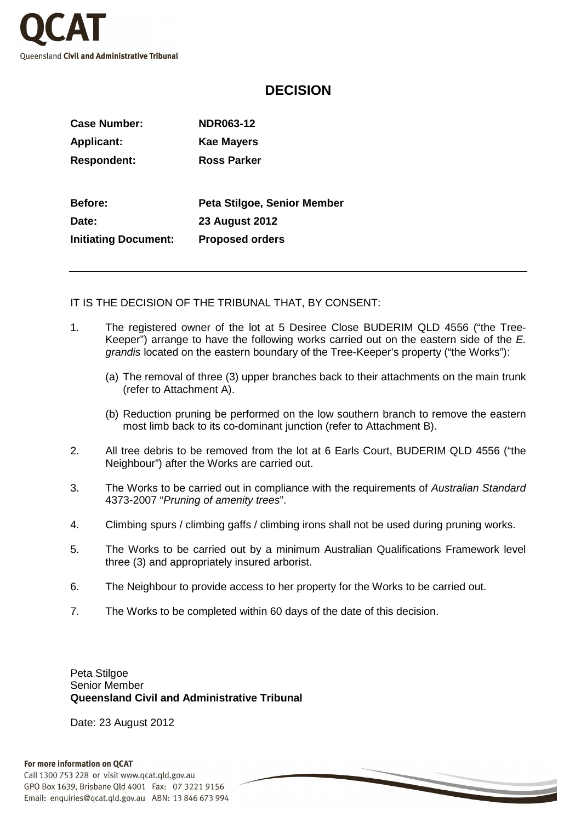

## **DECISION**

| Case Number:                | <b>NDR063-12</b>            |
|-----------------------------|-----------------------------|
| <b>Applicant:</b>           | <b>Kae Mayers</b>           |
| <b>Respondent:</b>          | <b>Ross Parker</b>          |
|                             |                             |
| <b>Before:</b>              | Peta Stilgoe, Senior Member |
| Date:                       | <b>23 August 2012</b>       |
| <b>Initiating Document:</b> | <b>Proposed orders</b>      |
|                             |                             |

IT IS THE DECISION OF THE TRIBUNAL THAT, BY CONSENT:

- 1. The registered owner of the lot at 5 Desiree Close BUDERIM QLD 4556 ("the Tree-Keeper") arrange to have the following works carried out on the eastern side of the E. grandis located on the eastern boundary of the Tree-Keeper's property ("the Works"):
	- (a) The removal of three (3) upper branches back to their attachments on the main trunk (refer to Attachment A).
	- (b) Reduction pruning be performed on the low southern branch to remove the eastern most limb back to its co-dominant junction (refer to Attachment B).
- 2. All tree debris to be removed from the lot at 6 Earls Court, BUDERIM QLD 4556 ("the Neighbour") after the Works are carried out.
- 3. The Works to be carried out in compliance with the requirements of Australian Standard 4373-2007 "Pruning of amenity trees".
- 4. Climbing spurs / climbing gaffs / climbing irons shall not be used during pruning works.
- 5. The Works to be carried out by a minimum Australian Qualifications Framework level three (3) and appropriately insured arborist.
- 6. The Neighbour to provide access to her property for the Works to be carried out.
- 7. The Works to be completed within 60 days of the date of this decision.

Peta Stilgoe Senior Member **Queensland Civil and Administrative Tribunal** 

Date: 23 August 2012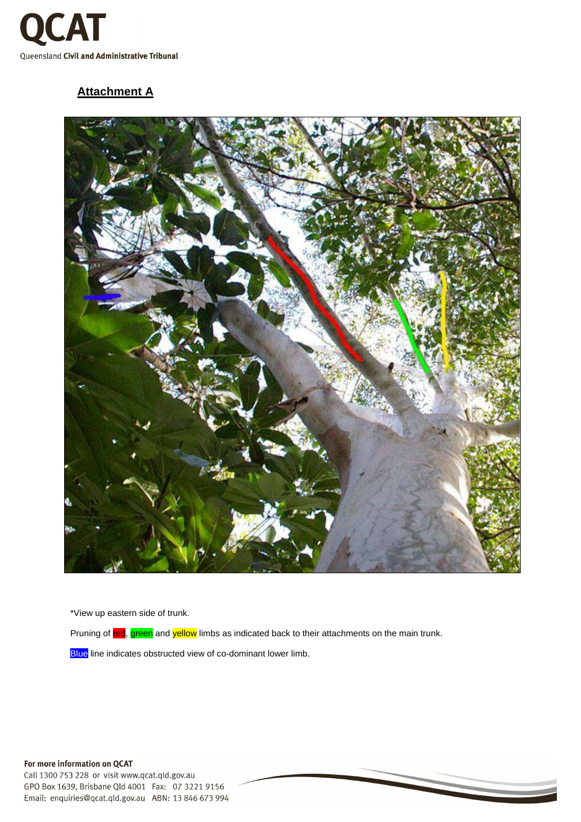

## **Attachment A**



\*View up eastern side of trunk.

Pruning of red, green and yellow limbs as indicated back to their attachments on the main trunk.

Blue line indicates obstructed view of co-dominant lower limb.